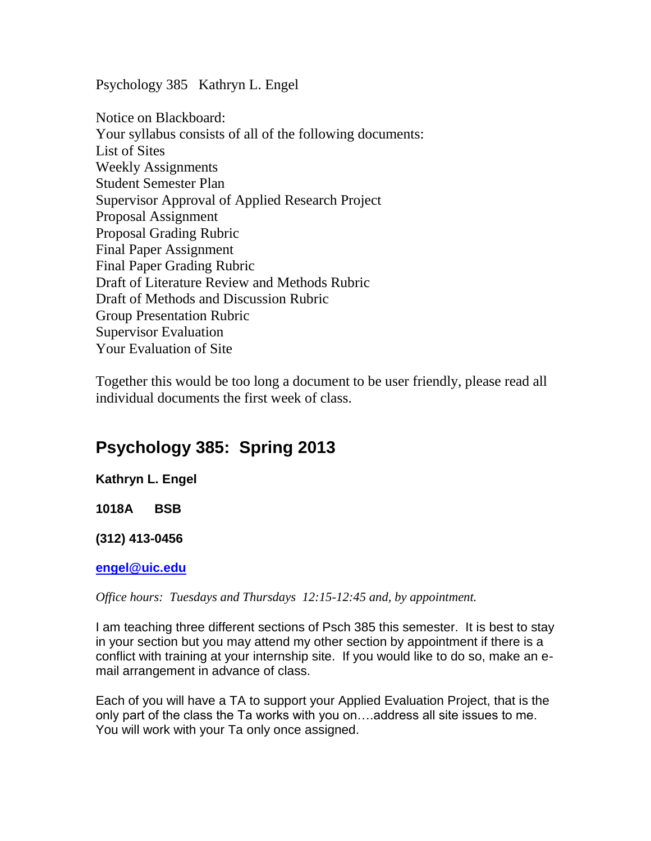Psychology 385 Kathryn L. Engel

Notice on Blackboard: Your syllabus consists of all of the following documents: List of Sites Weekly Assignments Student Semester Plan Supervisor Approval of Applied Research Project Proposal Assignment Proposal Grading Rubric Final Paper Assignment Final Paper Grading Rubric Draft of Literature Review and Methods Rubric Draft of Methods and Discussion Rubric Group Presentation Rubric Supervisor Evaluation Your Evaluation of Site

Together this would be too long a document to be user friendly, please read all individual documents the first week of class.

# **Psychology 385: Spring 2013**

**Kathryn L. Engel** 

**1018A BSB** 

**(312) 413-0456** 

**[engel@uic.edu](mailto:engel@uic.edu)** 

*Office hours: Tuesdays and Thursdays 12:15-12:45 and, by appointment.*

I am teaching three different sections of Psch 385 this semester. It is best to stay in your section but you may attend my other section by appointment if there is a conflict with training at your internship site. If you would like to do so, make an email arrangement in advance of class.

Each of you will have a TA to support your Applied Evaluation Project, that is the only part of the class the Ta works with you on….address all site issues to me. You will work with your Ta only once assigned.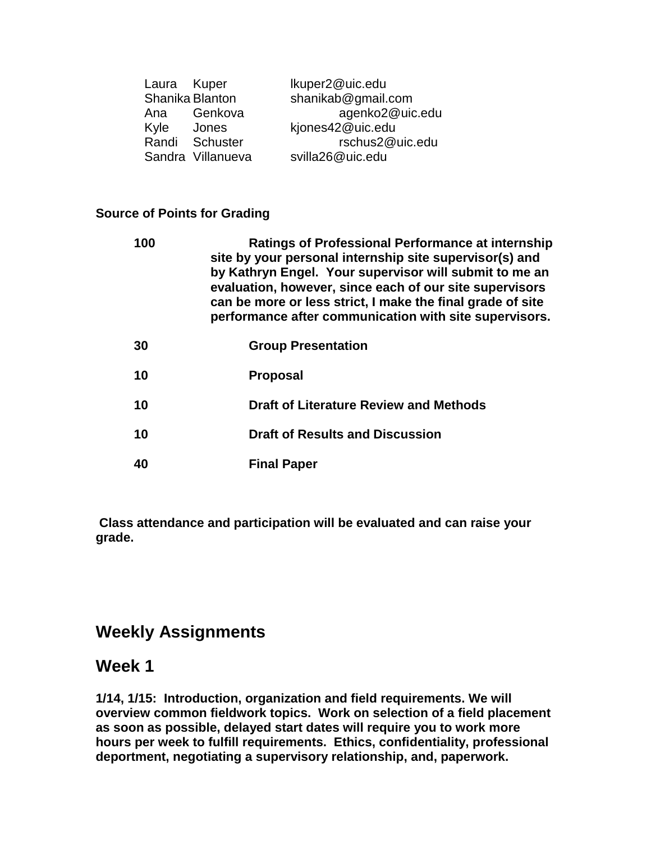| Laura Kuper |                   | Ikuper2@uic.edu    |
|-------------|-------------------|--------------------|
|             | Shanika Blanton   | shanikab@gmail.com |
| Ana         | Genkova           | agenko2@uic.edu    |
| Kyle        | Jones             | kjones42@uic.edu   |
|             | Randi Schuster    | rschus2@uic.edu    |
|             | Sandra Villanueva | svilla26@uic.edu   |

## **Source of Points for Grading**

| 100 | <b>Ratings of Professional Performance at internship</b><br>site by your personal internship site supervisor(s) and<br>by Kathryn Engel. Your supervisor will submit to me an<br>evaluation, however, since each of our site supervisors<br>can be more or less strict, I make the final grade of site<br>performance after communication with site supervisors. |
|-----|------------------------------------------------------------------------------------------------------------------------------------------------------------------------------------------------------------------------------------------------------------------------------------------------------------------------------------------------------------------|
| 30  | <b>Group Presentation</b>                                                                                                                                                                                                                                                                                                                                        |
| 10  | <b>Proposal</b>                                                                                                                                                                                                                                                                                                                                                  |
| 10  | <b>Draft of Literature Review and Methods</b>                                                                                                                                                                                                                                                                                                                    |
| 10  | <b>Draft of Results and Discussion</b>                                                                                                                                                                                                                                                                                                                           |
| 40  | <b>Final Paper</b>                                                                                                                                                                                                                                                                                                                                               |

**Class attendance and participation will be evaluated and can raise your grade.** 

# **Weekly Assignments**

# **Week 1**

**1/14, 1/15: Introduction, organization and field requirements. We will overview common fieldwork topics. Work on selection of a field placement as soon as possible, delayed start dates will require you to work more hours per week to fulfill requirements. Ethics, confidentiality, professional deportment, negotiating a supervisory relationship, and, paperwork.**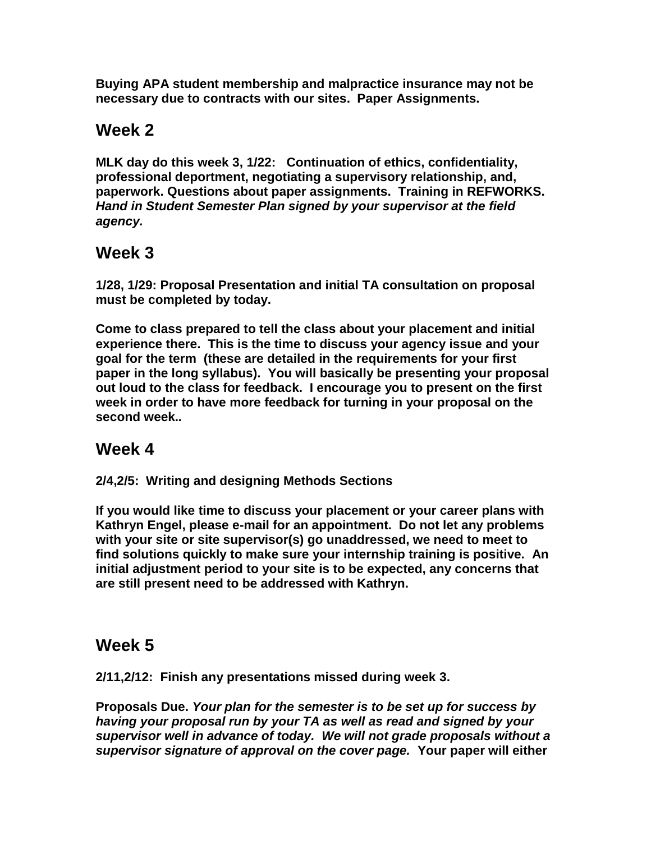**Buying APA student membership and malpractice insurance may not be necessary due to contracts with our sites. Paper Assignments.** 

# **Week 2**

**MLK day do this week 3, 1/22: Continuation of ethics, confidentiality, professional deportment, negotiating a supervisory relationship, and, paperwork. Questions about paper assignments. Training in REFWORKS.**  *Hand in Student Semester Plan signed by your supervisor at the field agency.*

# **Week 3**

**1/28, 1/29: Proposal Presentation and initial TA consultation on proposal must be completed by today.** 

**Come to class prepared to tell the class about your placement and initial experience there. This is the time to discuss your agency issue and your goal for the term (these are detailed in the requirements for your first paper in the long syllabus). You will basically be presenting your proposal out loud to the class for feedback. I encourage you to present on the first week in order to have more feedback for turning in your proposal on the second week.***.* 

# **Week 4**

**2/4,2/5: Writing and designing Methods Sections**

**If you would like time to discuss your placement or your career plans with Kathryn Engel, please e-mail for an appointment. Do not let any problems with your site or site supervisor(s) go unaddressed, we need to meet to find solutions quickly to make sure your internship training is positive. An initial adjustment period to your site is to be expected, any concerns that are still present need to be addressed with Kathryn.**

# **Week 5**

**2/11,2/12: Finish any presentations missed during week 3.**

**Proposals Due.** *Your plan for the semester is to be set up for success by having your proposal run by your TA as well as read and signed by your supervisor well in advance of today. We will not grade proposals without a supervisor signature of approval on the cover page.* **Your paper will either**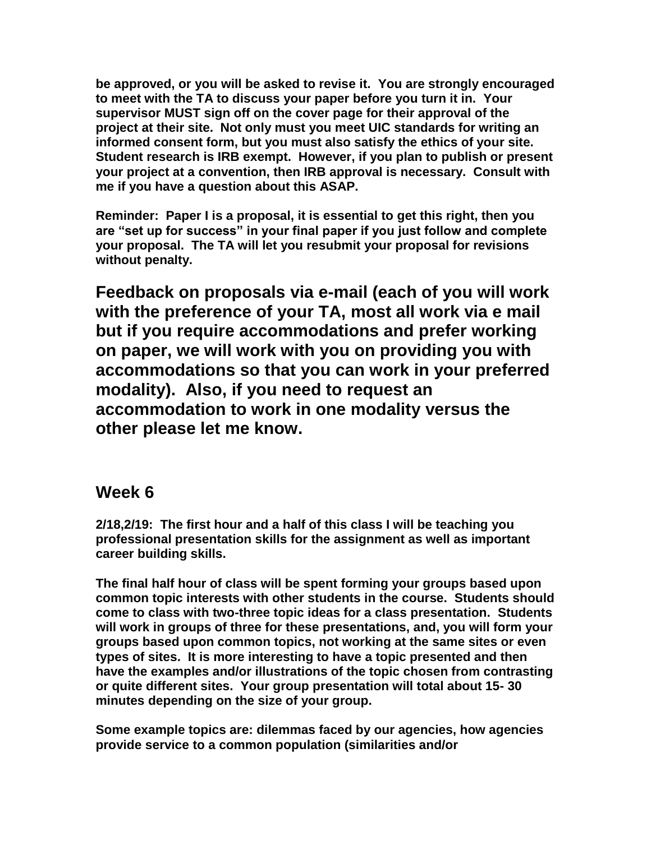**be approved, or you will be asked to revise it. You are strongly encouraged to meet with the TA to discuss your paper before you turn it in. Your supervisor MUST sign off on the cover page for their approval of the project at their site. Not only must you meet UIC standards for writing an informed consent form, but you must also satisfy the ethics of your site. Student research is IRB exempt. However, if you plan to publish or present your project at a convention, then IRB approval is necessary. Consult with me if you have a question about this ASAP.**

**Reminder: Paper I is a proposal, it is essential to get this right, then you are "set up for success" in your final paper if you just follow and complete your proposal. The TA will let you resubmit your proposal for revisions without penalty.**

**Feedback on proposals via e-mail (each of you will work with the preference of your TA, most all work via e mail but if you require accommodations and prefer working on paper, we will work with you on providing you with accommodations so that you can work in your preferred modality). Also, if you need to request an accommodation to work in one modality versus the other please let me know.**

## **Week 6**

**2/18,2/19: The first hour and a half of this class I will be teaching you professional presentation skills for the assignment as well as important career building skills.**

**The final half hour of class will be spent forming your groups based upon common topic interests with other students in the course. Students should come to class with two-three topic ideas for a class presentation. Students will work in groups of three for these presentations, and, you will form your groups based upon common topics, not working at the same sites or even types of sites. It is more interesting to have a topic presented and then have the examples and/or illustrations of the topic chosen from contrasting or quite different sites. Your group presentation will total about 15- 30 minutes depending on the size of your group.**

**Some example topics are: dilemmas faced by our agencies, how agencies provide service to a common population (similarities and/or**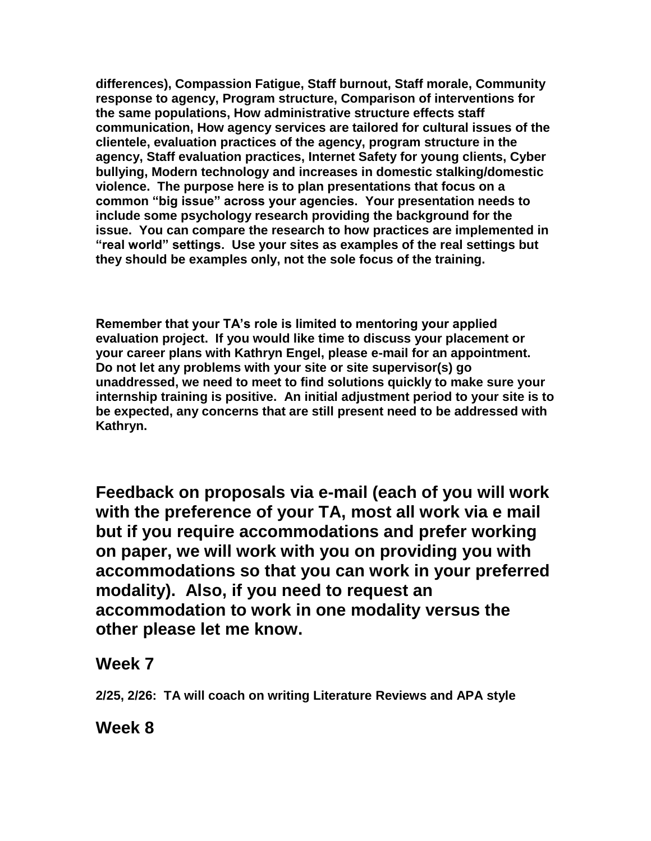**differences), Compassion Fatigue, Staff burnout, Staff morale, Community response to agency, Program structure, Comparison of interventions for the same populations, How administrative structure effects staff communication, How agency services are tailored for cultural issues of the clientele, evaluation practices of the agency, program structure in the agency, Staff evaluation practices, Internet Safety for young clients, Cyber bullying, Modern technology and increases in domestic stalking/domestic violence. The purpose here is to plan presentations that focus on a common "big issue" across your agencies. Your presentation needs to include some psychology research providing the background for the issue. You can compare the research to how practices are implemented in "real world" settings. Use your sites as examples of the real settings but they should be examples only, not the sole focus of the training.**

**Remember that your TA's role is limited to mentoring your applied evaluation project. If you would like time to discuss your placement or your career plans with Kathryn Engel, please e-mail for an appointment. Do not let any problems with your site or site supervisor(s) go unaddressed, we need to meet to find solutions quickly to make sure your internship training is positive. An initial adjustment period to your site is to be expected, any concerns that are still present need to be addressed with Kathryn.**

**Feedback on proposals via e-mail (each of you will work with the preference of your TA, most all work via e mail but if you require accommodations and prefer working on paper, we will work with you on providing you with accommodations so that you can work in your preferred modality). Also, if you need to request an accommodation to work in one modality versus the other please let me know.**

# **Week 7**

**2/25, 2/26: TA will coach on writing Literature Reviews and APA style**

**Week 8**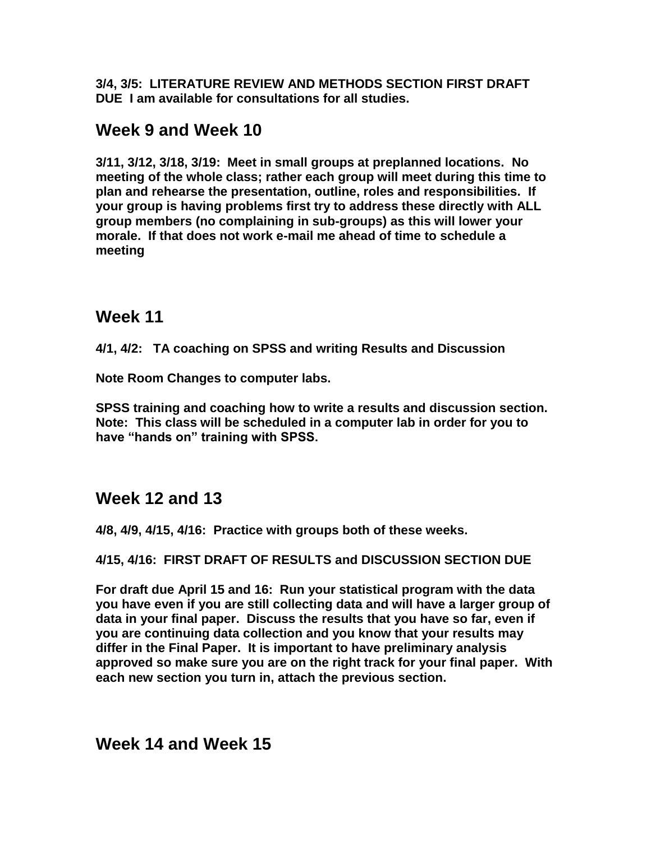**3/4, 3/5: LITERATURE REVIEW AND METHODS SECTION FIRST DRAFT DUE I am available for consultations for all studies.** 

# **Week 9 and Week 10**

**3/11, 3/12, 3/18, 3/19: Meet in small groups at preplanned locations. No meeting of the whole class; rather each group will meet during this time to plan and rehearse the presentation, outline, roles and responsibilities. If your group is having problems first try to address these directly with ALL group members (no complaining in sub-groups) as this will lower your morale. If that does not work e-mail me ahead of time to schedule a meeting**

# **Week 11**

**4/1, 4/2: TA coaching on SPSS and writing Results and Discussion**

**Note Room Changes to computer labs.**

**SPSS training and coaching how to write a results and discussion section. Note: This class will be scheduled in a computer lab in order for you to have "hands on" training with SPSS.**

# **Week 12 and 13**

**4/8, 4/9, 4/15, 4/16: Practice with groups both of these weeks.**

## **4/15, 4/16: FIRST DRAFT OF RESULTS and DISCUSSION SECTION DUE**

**For draft due April 15 and 16: Run your statistical program with the data you have even if you are still collecting data and will have a larger group of data in your final paper. Discuss the results that you have so far, even if you are continuing data collection and you know that your results may differ in the Final Paper. It is important to have preliminary analysis approved so make sure you are on the right track for your final paper. With each new section you turn in, attach the previous section.**

**Week 14 and Week 15**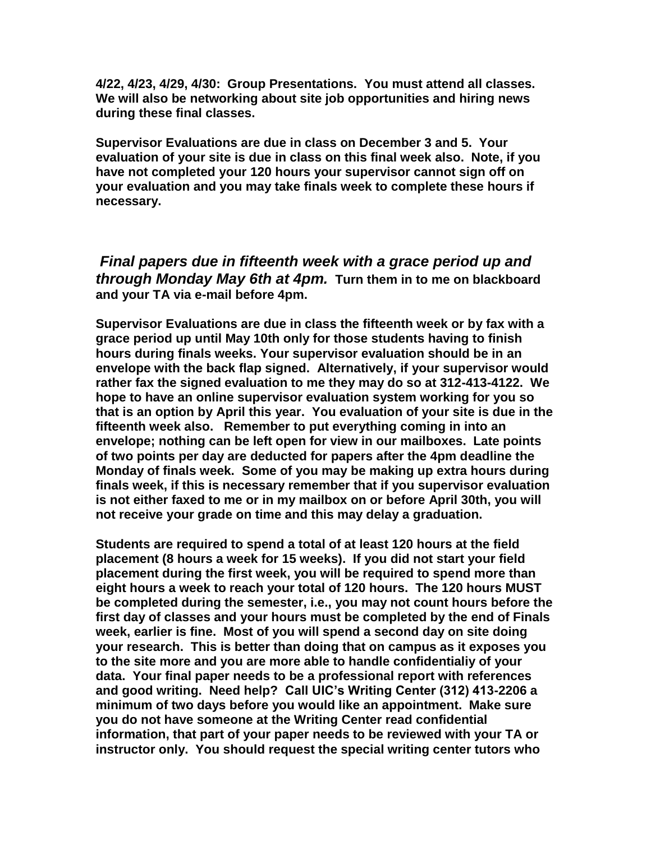**4/22, 4/23, 4/29, 4/30: Group Presentations. You must attend all classes. We will also be networking about site job opportunities and hiring news during these final classes.**

**Supervisor Evaluations are due in class on December 3 and 5. Your evaluation of your site is due in class on this final week also. Note, if you have not completed your 120 hours your supervisor cannot sign off on your evaluation and you may take finals week to complete these hours if necessary.** 

*Final papers due in fifteenth week with a grace period up and through Monday May 6th at 4pm.* **Turn them in to me on blackboard and your TA via e-mail before 4pm.** 

**Supervisor Evaluations are due in class the fifteenth week or by fax with a grace period up until May 10th only for those students having to finish hours during finals weeks. Your supervisor evaluation should be in an envelope with the back flap signed. Alternatively, if your supervisor would rather fax the signed evaluation to me they may do so at 312-413-4122. We hope to have an online supervisor evaluation system working for you so that is an option by April this year. You evaluation of your site is due in the fifteenth week also. Remember to put everything coming in into an envelope; nothing can be left open for view in our mailboxes. Late points of two points per day are deducted for papers after the 4pm deadline the Monday of finals week. Some of you may be making up extra hours during finals week, if this is necessary remember that if you supervisor evaluation is not either faxed to me or in my mailbox on or before April 30th, you will not receive your grade on time and this may delay a graduation.**

**Students are required to spend a total of at least 120 hours at the field placement (8 hours a week for 15 weeks). If you did not start your field placement during the first week, you will be required to spend more than eight hours a week to reach your total of 120 hours. The 120 hours MUST be completed during the semester, i.e., you may not count hours before the first day of classes and your hours must be completed by the end of Finals week, earlier is fine. Most of you will spend a second day on site doing your research. This is better than doing that on campus as it exposes you to the site more and you are more able to handle confidentialiy of your data. Your final paper needs to be a professional report with references and good writing. Need help? Call UIC's Writing Center (312) 413-2206 a minimum of two days before you would like an appointment. Make sure you do not have someone at the Writing Center read confidential information, that part of your paper needs to be reviewed with your TA or instructor only. You should request the special writing center tutors who**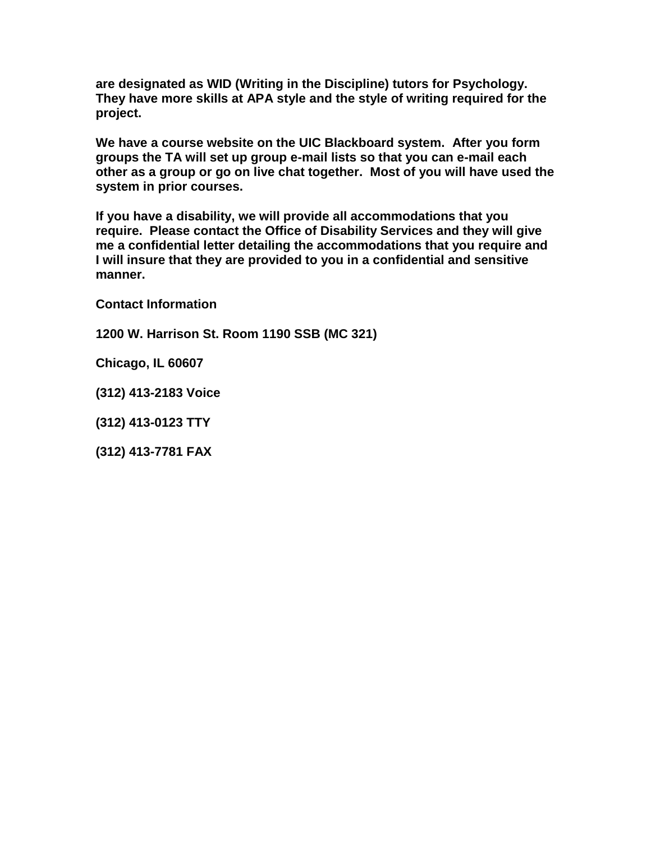**are designated as WID (Writing in the Discipline) tutors for Psychology. They have more skills at APA style and the style of writing required for the project.** 

**We have a course website on the UIC Blackboard system. After you form groups the TA will set up group e-mail lists so that you can e-mail each other as a group or go on live chat together. Most of you will have used the system in prior courses.**

**If you have a disability, we will provide all accommodations that you require. Please contact the Office of Disability Services and they will give me a confidential letter detailing the accommodations that you require and I will insure that they are provided to you in a confidential and sensitive manner.** 

**Contact Information**

**1200 W. Harrison St. Room 1190 SSB (MC 321)** 

**Chicago, IL 60607**

**(312) 413-2183 Voice** 

**(312) 413-0123 TTY**

**(312) 413-7781 FAX**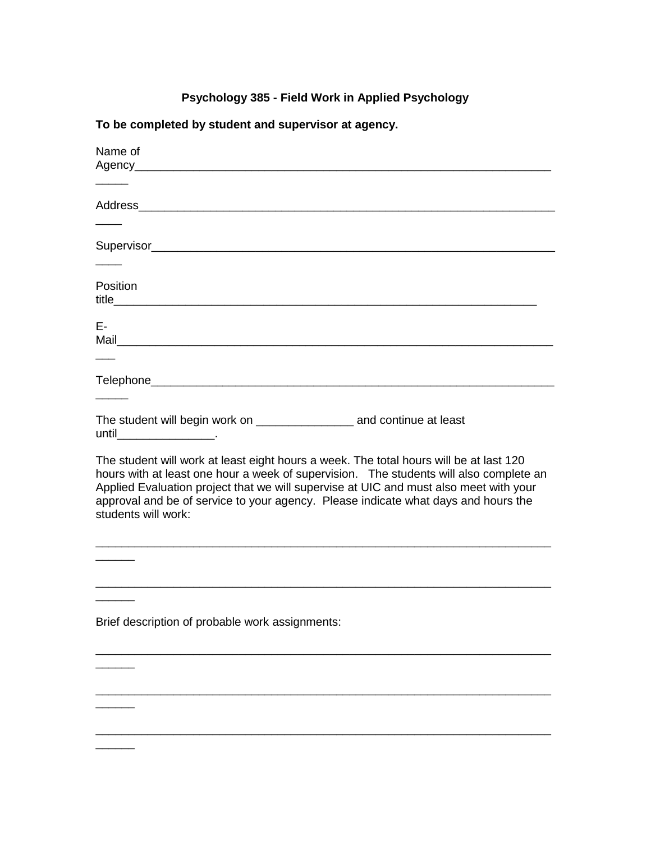## **Psychology 385 - Field Work in Applied Psychology**

## **To be completed by student and supervisor at agency.**

| Name of                                                                                                                                                                                                                                                                                                                                                                                |
|----------------------------------------------------------------------------------------------------------------------------------------------------------------------------------------------------------------------------------------------------------------------------------------------------------------------------------------------------------------------------------------|
|                                                                                                                                                                                                                                                                                                                                                                                        |
|                                                                                                                                                                                                                                                                                                                                                                                        |
|                                                                                                                                                                                                                                                                                                                                                                                        |
| Address Address Address Address Address Address Address Address Address Address Address Address Address Address A                                                                                                                                                                                                                                                                      |
|                                                                                                                                                                                                                                                                                                                                                                                        |
|                                                                                                                                                                                                                                                                                                                                                                                        |
|                                                                                                                                                                                                                                                                                                                                                                                        |
|                                                                                                                                                                                                                                                                                                                                                                                        |
| Position                                                                                                                                                                                                                                                                                                                                                                               |
|                                                                                                                                                                                                                                                                                                                                                                                        |
|                                                                                                                                                                                                                                                                                                                                                                                        |
| E-                                                                                                                                                                                                                                                                                                                                                                                     |
|                                                                                                                                                                                                                                                                                                                                                                                        |
|                                                                                                                                                                                                                                                                                                                                                                                        |
|                                                                                                                                                                                                                                                                                                                                                                                        |
|                                                                                                                                                                                                                                                                                                                                                                                        |
|                                                                                                                                                                                                                                                                                                                                                                                        |
| The student will begin work on ________________________ and continue at least                                                                                                                                                                                                                                                                                                          |
|                                                                                                                                                                                                                                                                                                                                                                                        |
| The student will work at least eight hours a week. The total hours will be at last 120<br>hours with at least one hour a week of supervision. The students will also complete an<br>Applied Evaluation project that we will supervise at UIC and must also meet with your<br>approval and be of service to your agency. Please indicate what days and hours the<br>students will work: |
|                                                                                                                                                                                                                                                                                                                                                                                        |
|                                                                                                                                                                                                                                                                                                                                                                                        |
|                                                                                                                                                                                                                                                                                                                                                                                        |
|                                                                                                                                                                                                                                                                                                                                                                                        |
| Brief description of probable work assignments:                                                                                                                                                                                                                                                                                                                                        |
|                                                                                                                                                                                                                                                                                                                                                                                        |
|                                                                                                                                                                                                                                                                                                                                                                                        |
|                                                                                                                                                                                                                                                                                                                                                                                        |
|                                                                                                                                                                                                                                                                                                                                                                                        |
|                                                                                                                                                                                                                                                                                                                                                                                        |
|                                                                                                                                                                                                                                                                                                                                                                                        |
|                                                                                                                                                                                                                                                                                                                                                                                        |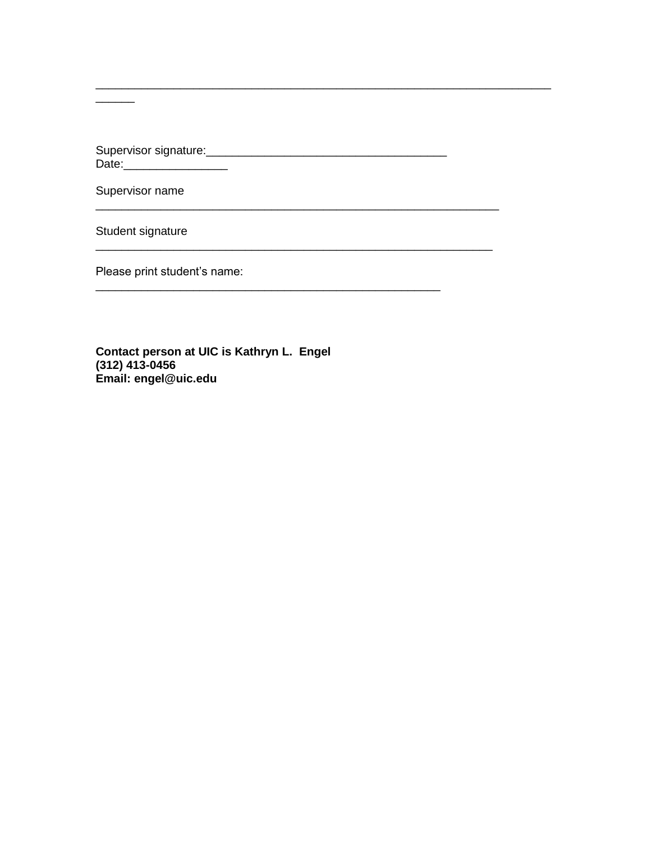Supervisor name

Student signature

Please print student's name:

Contact person at UIC is Kathryn L. Engel  $(312)$  413-0456 Email: engel@uic.edu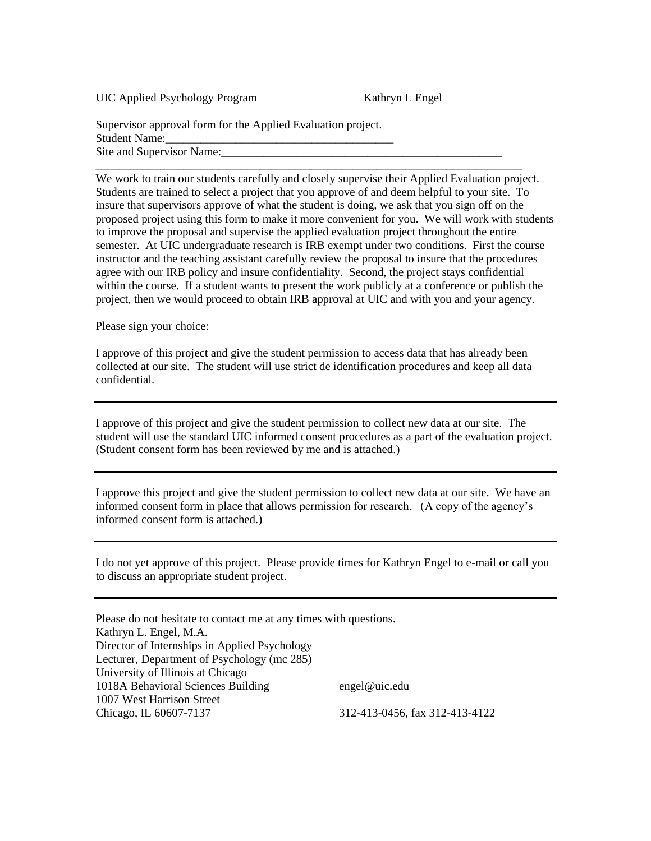UIC Applied Psychology Program Kathryn L Engel

Supervisor approval form for the Applied Evaluation project. Student Name: Site and Supervisor Name:

We work to train our students carefully and closely supervise their Applied Evaluation project. Students are trained to select a project that you approve of and deem helpful to your site. To insure that supervisors approve of what the student is doing, we ask that you sign off on the proposed project using this form to make it more convenient for you. We will work with students to improve the proposal and supervise the applied evaluation project throughout the entire semester. At UIC undergraduate research is IRB exempt under two conditions. First the course instructor and the teaching assistant carefully review the proposal to insure that the procedures agree with our IRB policy and insure confidentiality. Second, the project stays confidential within the course. If a student wants to present the work publicly at a conference or publish the project, then we would proceed to obtain IRB approval at UIC and with you and your agency.

\_\_\_\_\_\_\_\_\_\_\_\_\_\_\_\_\_\_\_\_\_\_\_\_\_\_\_\_\_\_\_\_\_\_\_\_\_\_\_\_\_\_\_\_\_\_\_\_\_\_\_\_\_\_\_\_\_\_\_\_\_\_\_\_\_\_\_\_\_\_\_\_\_

Please sign your choice:

I approve of this project and give the student permission to access data that has already been collected at our site. The student will use strict de identification procedures and keep all data confidential.

I approve of this project and give the student permission to collect new data at our site. The student will use the standard UIC informed consent procedures as a part of the evaluation project. (Student consent form has been reviewed by me and is attached.)

I approve this project and give the student permission to collect new data at our site. We have an informed consent form in place that allows permission for research. (A copy of the agency's informed consent form is attached.)

I do not yet approve of this project. Please provide times for Kathryn Engel to e-mail or call you to discuss an appropriate student project.

Please do not hesitate to contact me at any times with questions. Kathryn L. Engel, M.A. Director of Internships in Applied Psychology Lecturer, Department of Psychology (mc 285) University of Illinois at Chicago 1018A Behavioral Sciences Building engel@uic.edu 1007 West Harrison Street Chicago, IL 60607-7137 312-413-0456, fax 312-413-4122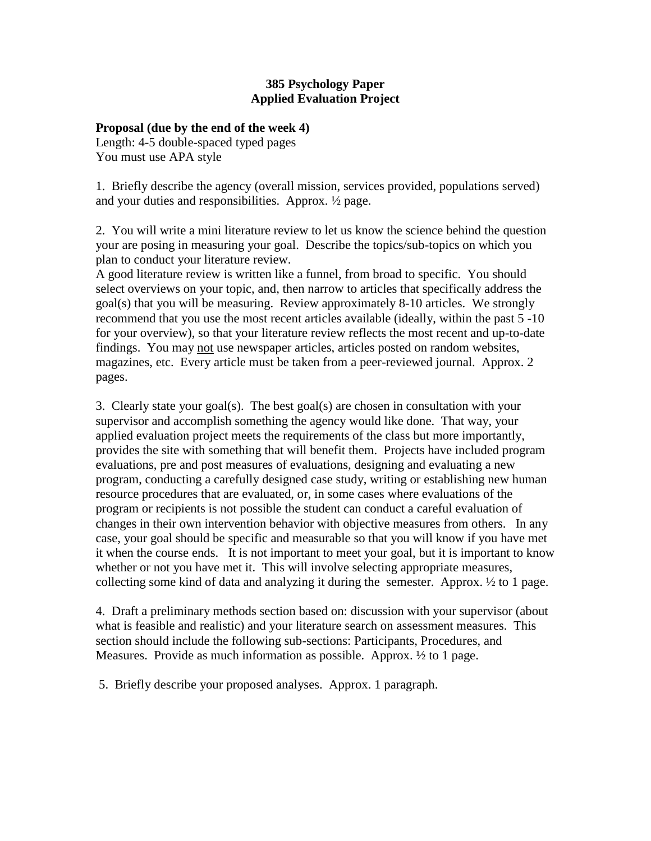### **385 Psychology Paper Applied Evaluation Project**

#### **Proposal (due by the end of the week 4)**

Length: 4-5 double-spaced typed pages You must use APA style

1. Briefly describe the agency (overall mission, services provided, populations served) and your duties and responsibilities. Approx. ½ page.

2. You will write a mini literature review to let us know the science behind the question your are posing in measuring your goal. Describe the topics/sub-topics on which you plan to conduct your literature review.

A good literature review is written like a funnel, from broad to specific. You should select overviews on your topic, and, then narrow to articles that specifically address the goal(s) that you will be measuring. Review approximately 8-10 articles. We strongly recommend that you use the most recent articles available (ideally, within the past 5 -10 for your overview), so that your literature review reflects the most recent and up-to-date findings. You may not use newspaper articles, articles posted on random websites, magazines, etc. Every article must be taken from a peer-reviewed journal. Approx. 2 pages.

3. Clearly state your goal(s). The best goal(s) are chosen in consultation with your supervisor and accomplish something the agency would like done. That way, your applied evaluation project meets the requirements of the class but more importantly, provides the site with something that will benefit them. Projects have included program evaluations, pre and post measures of evaluations, designing and evaluating a new program, conducting a carefully designed case study, writing or establishing new human resource procedures that are evaluated, or, in some cases where evaluations of the program or recipients is not possible the student can conduct a careful evaluation of changes in their own intervention behavior with objective measures from others. In any case, your goal should be specific and measurable so that you will know if you have met it when the course ends. It is not important to meet your goal, but it is important to know whether or not you have met it. This will involve selecting appropriate measures, collecting some kind of data and analyzing it during the semester. Approx. ½ to 1 page.

4. Draft a preliminary methods section based on: discussion with your supervisor (about what is feasible and realistic) and your literature search on assessment measures. This section should include the following sub-sections: Participants, Procedures, and Measures. Provide as much information as possible. Approx. ½ to 1 page.

5. Briefly describe your proposed analyses. Approx. 1 paragraph.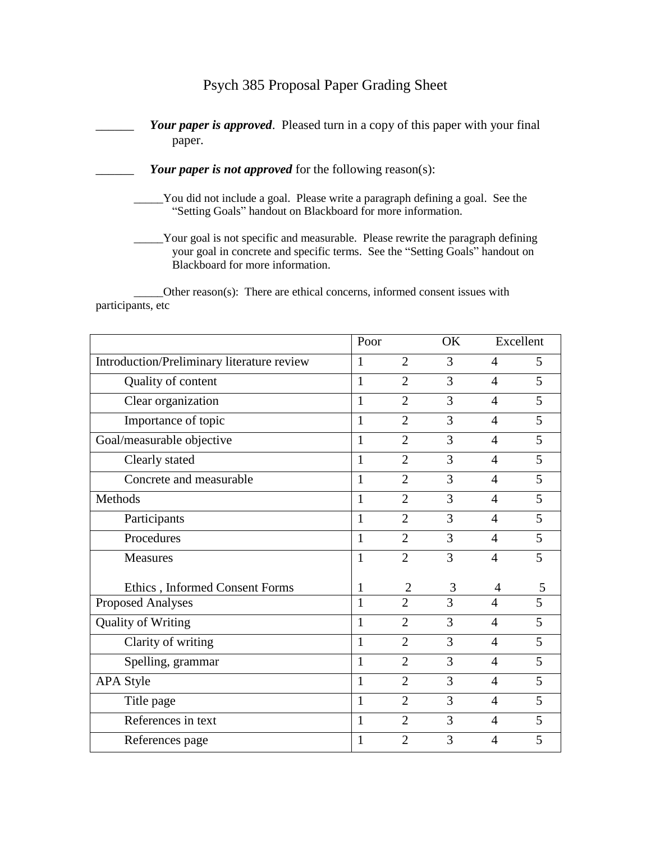## Psych 385 Proposal Paper Grading Sheet

Your paper is approved. Pleased turn in a copy of this paper with your final paper.

- Your paper is not approved for the following reason(s):
	- \_\_\_\_\_You did not include a goal. Please write a paragraph defining a goal. See the "Setting Goals" handout on Blackboard for more information.
	- \_\_\_\_\_Your goal is not specific and measurable. Please rewrite the paragraph defining your goal in concrete and specific terms. See the "Setting Goals" handout on Blackboard for more information.

\_\_\_\_\_Other reason(s): There are ethical concerns, informed consent issues with participants, etc

|                                            | Poor         |                | OK | Excellent      |   |
|--------------------------------------------|--------------|----------------|----|----------------|---|
| Introduction/Preliminary literature review | 1            | $\overline{2}$ | 3  | $\overline{4}$ | 5 |
| Quality of content                         | 1            | $\overline{2}$ | 3  | $\overline{4}$ | 5 |
| Clear organization                         | 1            | $\overline{2}$ | 3  | $\overline{4}$ | 5 |
| Importance of topic                        | 1            | $\overline{2}$ | 3  | $\overline{4}$ | 5 |
| Goal/measurable objective                  | 1            | $\overline{2}$ | 3  | $\overline{4}$ | 5 |
| Clearly stated                             | 1            | $\overline{2}$ | 3  | $\overline{4}$ | 5 |
| Concrete and measurable                    | 1            | $\overline{2}$ | 3  | $\overline{4}$ | 5 |
| Methods                                    | 1            | $\overline{2}$ | 3  | $\overline{4}$ | 5 |
| Participants                               | 1            | $\overline{2}$ | 3  | $\overline{4}$ | 5 |
| Procedures                                 | 1            | $\overline{2}$ | 3  | $\overline{4}$ | 5 |
| <b>Measures</b>                            | 1            | $\overline{2}$ | 3  | $\overline{4}$ | 5 |
| Ethics, Informed Consent Forms             | 1            | $\overline{2}$ | 3  | 4              | 5 |
| <b>Proposed Analyses</b>                   | 1            | $\overline{2}$ | 3  | $\overline{4}$ | 5 |
| <b>Quality of Writing</b>                  | $\mathbf{1}$ | $\overline{2}$ | 3  | $\overline{4}$ | 5 |
| Clarity of writing                         | 1            | $\overline{2}$ | 3  | $\overline{4}$ | 5 |
| Spelling, grammar                          | 1            | $\overline{2}$ | 3  | $\overline{4}$ | 5 |
| <b>APA Style</b>                           | 1            | $\overline{2}$ | 3  | $\overline{4}$ | 5 |
| Title page                                 | $\mathbf{1}$ | $\overline{2}$ | 3  | $\overline{4}$ | 5 |
| References in text                         | 1            | $\overline{2}$ | 3  | $\overline{4}$ | 5 |
| References page                            |              | $\overline{2}$ | 3  | $\overline{4}$ | 5 |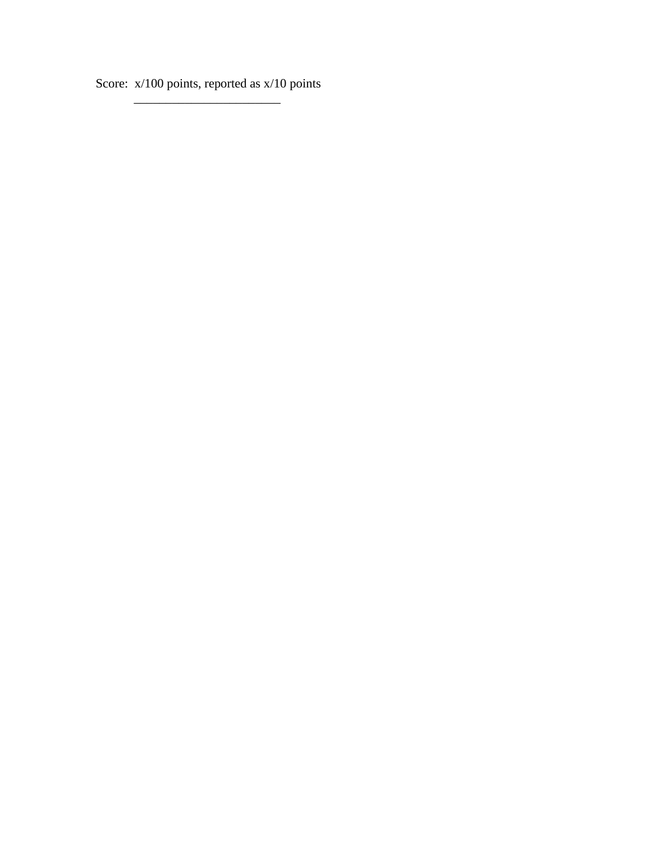Score: x/100 points, reported as x/10 points \_\_\_\_\_\_\_\_\_\_\_\_\_\_\_\_\_\_\_\_\_\_\_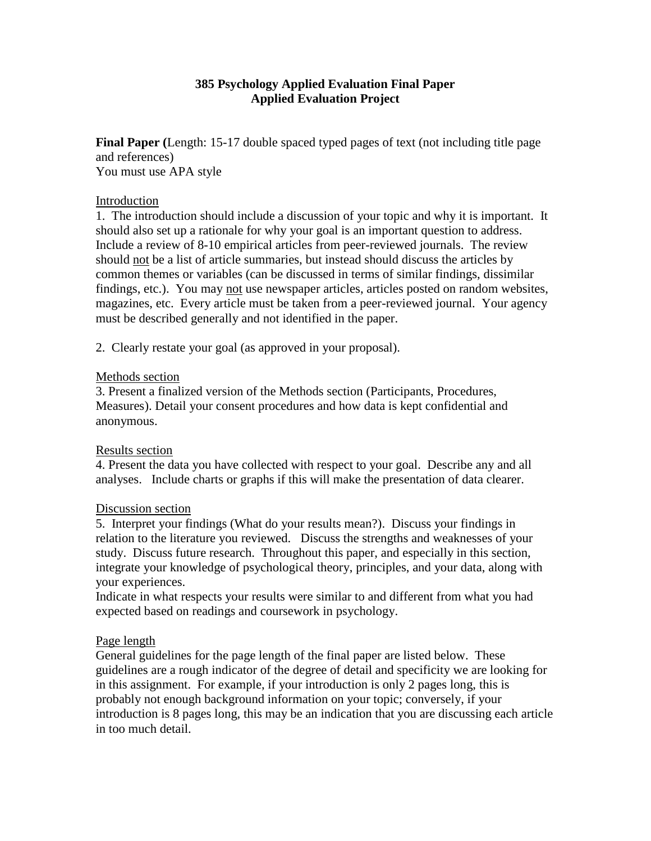### **385 Psychology Applied Evaluation Final Paper Applied Evaluation Project**

**Final Paper (**Length: 15-17 double spaced typed pages of text (not including title page and references) You must use APA style

#### Introduction

1. The introduction should include a discussion of your topic and why it is important. It should also set up a rationale for why your goal is an important question to address. Include a review of 8-10 empirical articles from peer-reviewed journals. The review should not be a list of article summaries, but instead should discuss the articles by common themes or variables (can be discussed in terms of similar findings, dissimilar findings, etc.). You may not use newspaper articles, articles posted on random websites, magazines, etc. Every article must be taken from a peer-reviewed journal. Your agency must be described generally and not identified in the paper.

2. Clearly restate your goal (as approved in your proposal).

#### Methods section

3. Present a finalized version of the Methods section (Participants, Procedures, Measures). Detail your consent procedures and how data is kept confidential and anonymous.

#### Results section

4. Present the data you have collected with respect to your goal. Describe any and all analyses. Include charts or graphs if this will make the presentation of data clearer.

#### Discussion section

5. Interpret your findings (What do your results mean?). Discuss your findings in relation to the literature you reviewed. Discuss the strengths and weaknesses of your study. Discuss future research. Throughout this paper, and especially in this section, integrate your knowledge of psychological theory, principles, and your data, along with your experiences.

Indicate in what respects your results were similar to and different from what you had expected based on readings and coursework in psychology.

#### Page length

General guidelines for the page length of the final paper are listed below. These guidelines are a rough indicator of the degree of detail and specificity we are looking for in this assignment. For example, if your introduction is only 2 pages long, this is probably not enough background information on your topic; conversely, if your introduction is 8 pages long, this may be an indication that you are discussing each article in too much detail.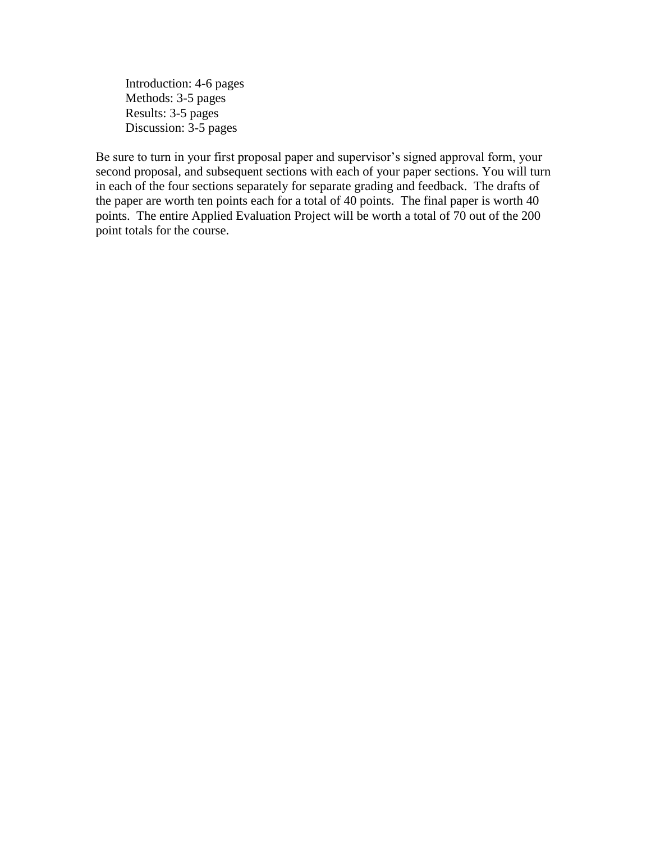Introduction: 4-6 pages Methods: 3-5 pages Results: 3-5 pages Discussion: 3-5 pages

Be sure to turn in your first proposal paper and supervisor's signed approval form, your second proposal, and subsequent sections with each of your paper sections. You will turn in each of the four sections separately for separate grading and feedback. The drafts of the paper are worth ten points each for a total of 40 points. The final paper is worth 40 points. The entire Applied Evaluation Project will be worth a total of 70 out of the 200 point totals for the course.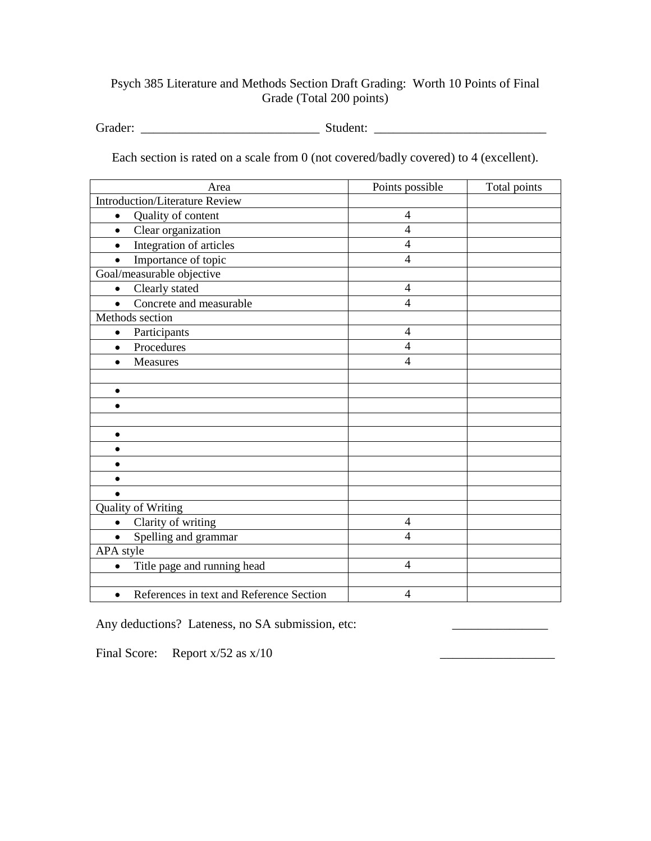## Psych 385 Literature and Methods Section Draft Grading: Worth 10 Points of Final Grade (Total 200 points)

Grader: \_\_\_\_\_\_\_\_\_\_\_\_\_\_\_\_\_\_\_\_\_\_\_\_\_\_\_\_ Student: \_\_\_\_\_\_\_\_\_\_\_\_\_\_\_\_\_\_\_\_\_\_\_\_\_\_\_

Each section is rated on a scale from 0 (not covered/badly covered) to 4 (excellent).

| Area                                                  | Points possible | Total points |
|-------------------------------------------------------|-----------------|--------------|
| <b>Introduction/Literature Review</b>                 |                 |              |
| Quality of content<br>$\bullet$                       | $\overline{4}$  |              |
| Clear organization<br>$\bullet$                       | $\overline{4}$  |              |
| Integration of articles<br>$\bullet$                  | $\overline{4}$  |              |
| Importance of topic<br>$\bullet$                      | $\overline{4}$  |              |
| Goal/measurable objective                             |                 |              |
| Clearly stated<br>$\bullet$                           | $\overline{4}$  |              |
| Concrete and measurable                               | $\overline{4}$  |              |
| Methods section                                       |                 |              |
| Participants<br>$\bullet$                             | $\overline{4}$  |              |
| Procedures<br>$\bullet$                               | $\overline{4}$  |              |
| Measures<br>$\bullet$                                 | $\overline{4}$  |              |
|                                                       |                 |              |
| $\bullet$                                             |                 |              |
|                                                       |                 |              |
|                                                       |                 |              |
| $\bullet$                                             |                 |              |
|                                                       |                 |              |
|                                                       |                 |              |
|                                                       |                 |              |
|                                                       |                 |              |
| <b>Quality of Writing</b>                             |                 |              |
| Clarity of writing<br>$\bullet$                       | $\overline{4}$  |              |
| Spelling and grammar<br>$\bullet$                     | $\overline{4}$  |              |
| APA style                                             |                 |              |
| Title page and running head                           | $\overline{4}$  |              |
|                                                       |                 |              |
| References in text and Reference Section<br>$\bullet$ | $\overline{4}$  |              |

Any deductions? Lateness, no SA submission, etc:

Final Score: Report  $x/52$  as  $x/10$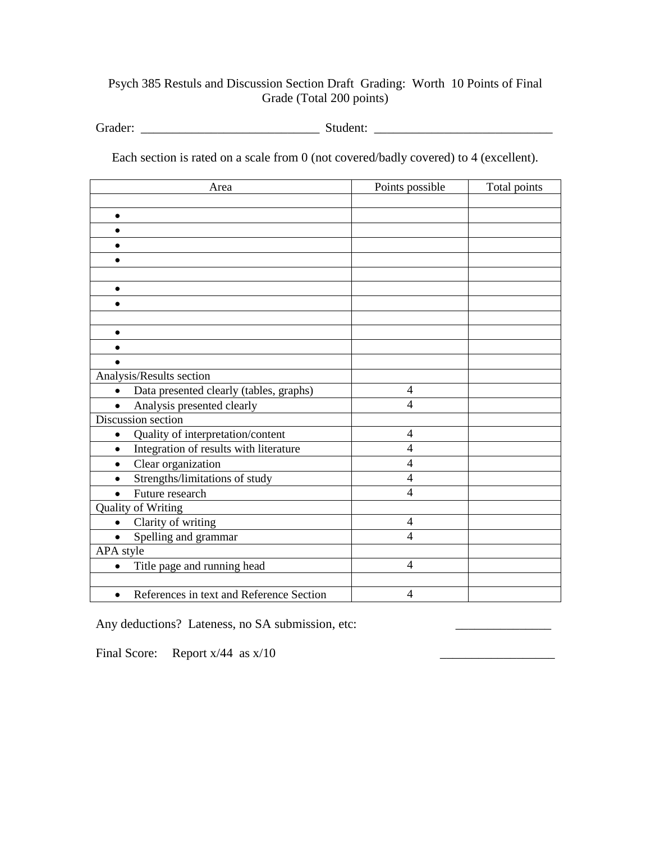## Psych 385 Restuls and Discussion Section Draft Grading: Worth 10 Points of Final Grade (Total 200 points)

Grader: \_\_\_\_\_\_\_\_\_\_\_\_\_\_\_\_\_\_\_\_\_\_\_\_\_\_\_\_ Student: \_\_\_\_\_\_\_\_\_\_\_\_\_\_\_\_\_\_\_\_\_\_\_\_\_\_\_\_

Each section is rated on a scale from 0 (not covered/badly covered) to 4 (excellent).

| Area                                                  | Points possible | Total points |
|-------------------------------------------------------|-----------------|--------------|
|                                                       |                 |              |
| $\bullet$                                             |                 |              |
|                                                       |                 |              |
|                                                       |                 |              |
| $\bullet$                                             |                 |              |
|                                                       |                 |              |
| ٠                                                     |                 |              |
|                                                       |                 |              |
|                                                       |                 |              |
| $\bullet$                                             |                 |              |
|                                                       |                 |              |
|                                                       |                 |              |
| Analysis/Results section                              |                 |              |
| Data presented clearly (tables, graphs)<br>$\bullet$  | $\overline{4}$  |              |
| Analysis presented clearly                            | $\overline{4}$  |              |
| Discussion section                                    |                 |              |
| Quality of interpretation/content<br>$\bullet$        | $\overline{4}$  |              |
| Integration of results with literature<br>$\bullet$   | $\overline{4}$  |              |
| Clear organization<br>$\bullet$                       | $\overline{4}$  |              |
| Strengths/limitations of study                        | $\overline{4}$  |              |
| Future research                                       | $\overline{4}$  |              |
| Quality of Writing                                    |                 |              |
| Clarity of writing<br>$\bullet$                       | $\overline{4}$  |              |
| Spelling and grammar                                  | $\overline{4}$  |              |
| APA style                                             |                 |              |
| Title page and running head<br>$\bullet$              | $\overline{4}$  |              |
|                                                       |                 |              |
| References in text and Reference Section<br>$\bullet$ | 4               |              |

Any deductions? Lateness, no SA submission, etc:

Final Score: Report  $x/44$  as  $x/10$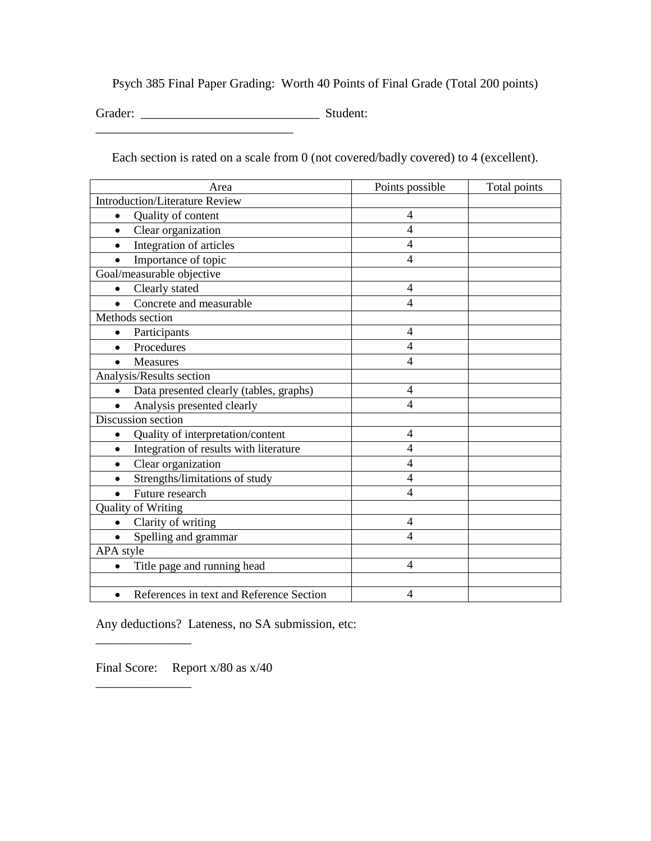Psych 385 Final Paper Grading: Worth 40 Points of Final Grade (Total 200 points)

Grader: \_\_\_\_\_\_\_\_\_\_\_\_\_\_\_\_\_\_\_\_\_\_\_\_\_\_\_\_ Student:

Each section is rated on a scale from 0 (not covered/badly covered) to 4 (excellent).

| Area                                                  | Points possible          | Total points |
|-------------------------------------------------------|--------------------------|--------------|
| <b>Introduction/Literature Review</b>                 |                          |              |
| Quality of content                                    | 4                        |              |
| Clear organization<br>$\bullet$                       | $\overline{4}$           |              |
| Integration of articles                               | $\overline{4}$           |              |
| Importance of topic                                   | $\overline{4}$           |              |
| Goal/measurable objective                             |                          |              |
| Clearly stated                                        | $\overline{4}$           |              |
| Concrete and measurable                               | $\overline{4}$           |              |
| Methods section                                       |                          |              |
| Participants                                          | 4                        |              |
| Procedures                                            | $\overline{4}$           |              |
| <b>Measures</b>                                       | $\overline{4}$           |              |
| Analysis/Results section                              |                          |              |
| Data presented clearly (tables, graphs)<br>$\bullet$  | 4                        |              |
| Analysis presented clearly                            | $\overline{4}$           |              |
| Discussion section                                    |                          |              |
| Quality of interpretation/content                     | $\overline{\mathcal{A}}$ |              |
| Integration of results with literature<br>$\bullet$   | $\overline{4}$           |              |
| Clear organization<br>$\bullet$                       | $\overline{4}$           |              |
| Strengths/limitations of study                        | 4                        |              |
| Future research                                       | 4                        |              |
| <b>Quality of Writing</b>                             |                          |              |
| Clarity of writing<br>$\bullet$                       | 4                        |              |
| Spelling and grammar                                  | $\overline{\mathcal{A}}$ |              |
| APA style                                             |                          |              |
| Title page and running head                           | $\overline{4}$           |              |
|                                                       |                          |              |
| References in text and Reference Section<br>$\bullet$ | 4                        |              |

Any deductions? Lateness, no SA submission, etc:

Final Score: Report x/80 as x/40

\_\_\_\_\_\_\_\_\_\_\_\_\_\_\_

\_\_\_\_\_\_\_\_\_\_\_\_\_\_\_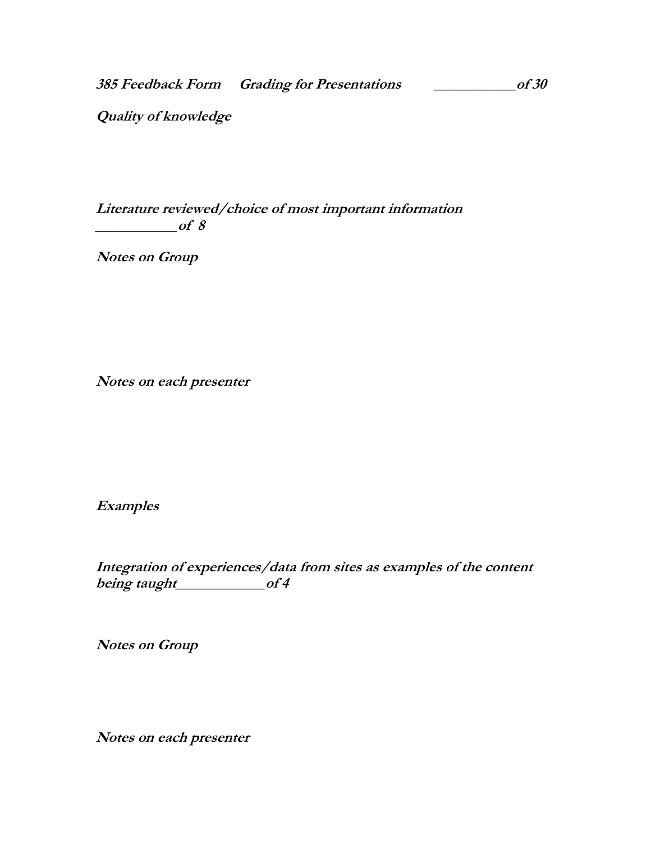**385 Feedback Form Grading for Presentations \_\_\_\_\_\_\_\_\_\_\_of 30**

**Quality of knowledge**

**Literature reviewed/choice of most important information \_\_\_\_\_\_\_\_\_\_\_of 8**

**Notes on Group**

**Notes on each presenter**

**Examples**

**Integration of experiences/data from sites as examples of the content**  being taught\_\_\_\_\_\_\_\_\_\_\_of 4

**Notes on Group**

**Notes on each presenter**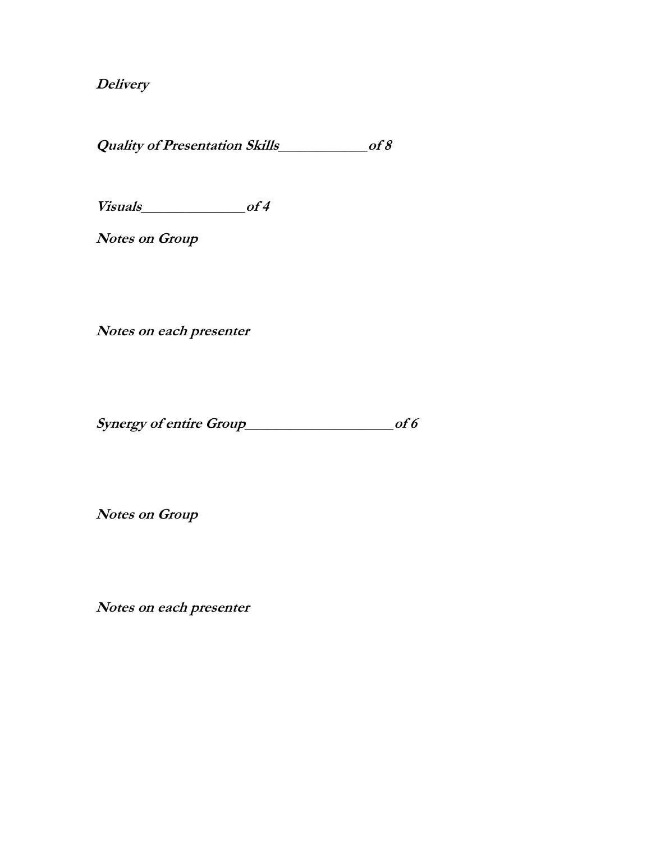**Delivery**

**Quality of Presentation Skills\_\_\_\_\_\_\_\_\_\_\_\_of 8**

**Visuals\_\_\_\_\_\_\_\_\_\_\_\_\_\_of 4**

**Notes on Group**

**Notes on each presenter**

**Synergy of entire Group\_\_\_\_\_\_\_\_\_\_\_\_\_\_\_\_\_\_\_\_of 6**

**Notes on Group**

**Notes on each presenter**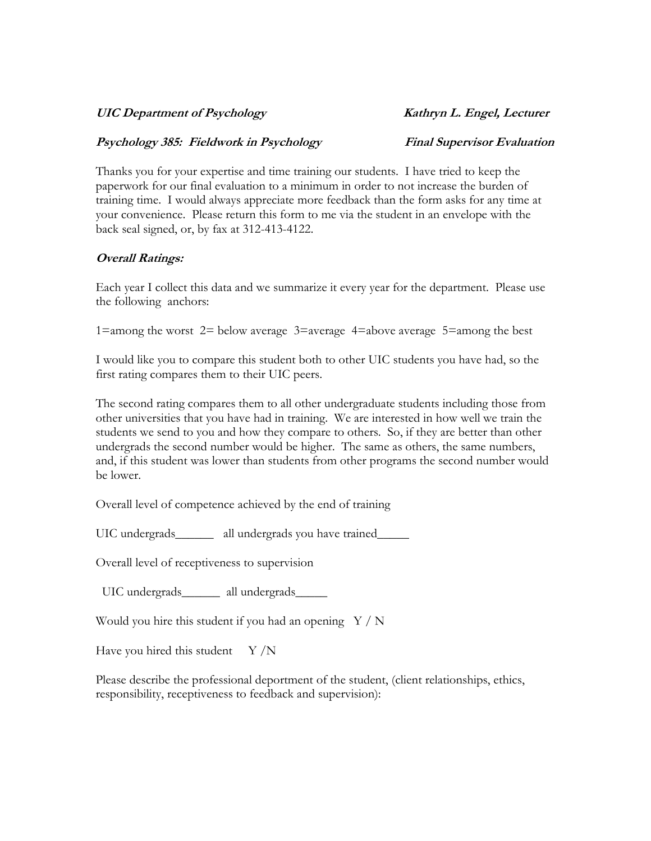#### UIC Department of Psychology **Kathryn L. Engel, Lecturer**

#### **Psychology 385: Fieldwork in Psychology Final Supervisor Evaluation**

Thanks you for your expertise and time training our students. I have tried to keep the paperwork for our final evaluation to a minimum in order to not increase the burden of training time. I would always appreciate more feedback than the form asks for any time at your convenience. Please return this form to me via the student in an envelope with the back seal signed, or, by fax at 312-413-4122.

#### **Overall Ratings:**

Each year I collect this data and we summarize it every year for the department. Please use the following anchors:

1=among the worst 2= below average 3=average 4=above average 5=among the best

I would like you to compare this student both to other UIC students you have had, so the first rating compares them to their UIC peers.

The second rating compares them to all other undergraduate students including those from other universities that you have had in training. We are interested in how well we train the students we send to you and how they compare to others. So, if they are better than other undergrads the second number would be higher. The same as others, the same numbers, and, if this student was lower than students from other programs the second number would be lower.

Overall level of competence achieved by the end of training

UIC undergrads\_\_\_\_\_\_\_ all undergrads you have trained\_\_\_\_\_

Overall level of receptiveness to supervision

UIC undergrads\_\_\_\_\_\_\_ all undergrads\_\_\_\_\_\_

Would you hire this student if you had an opening  $Y / N$ 

Have you hired this student  $Y/N$ 

Please describe the professional deportment of the student, (client relationships, ethics, responsibility, receptiveness to feedback and supervision):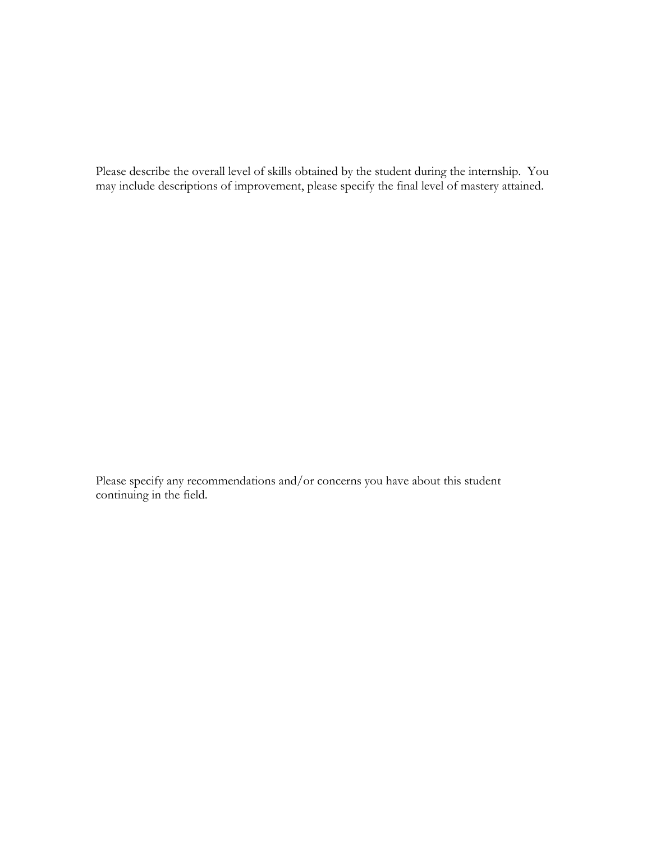Please describe the overall level of skills obtained by the student during the internship. You may include descriptions of improvement, please specify the final level of mastery attained.

Please specify any recommendations and/or concerns you have about this student continuing in the field.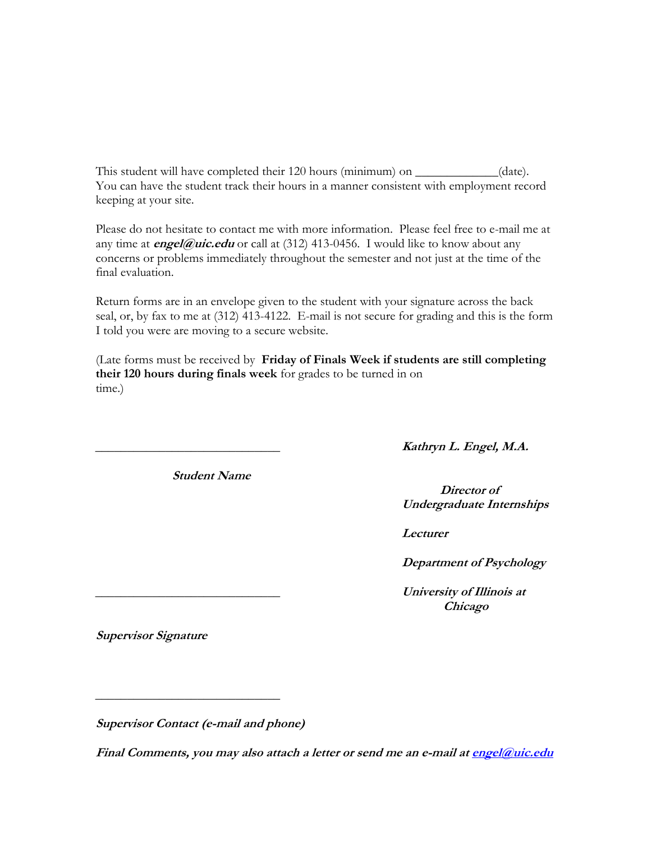This student will have completed their 120 hours (minimum) on \_\_\_\_\_\_\_\_\_\_\_\_(date). You can have the student track their hours in a manner consistent with employment record keeping at your site.

Please do not hesitate to contact me with more information. Please feel free to e-mail me at any time at **engel@uic.edu** or call at (312) 413-0456. I would like to know about any concerns or problems immediately throughout the semester and not just at the time of the final evaluation.

Return forms are in an envelope given to the student with your signature across the back seal, or, by fax to me at (312) 413-4122. E-mail is not secure for grading and this is the form I told you were are moving to a secure website.

(Late forms must be received by **Friday of Finals Week if students are still completing their 120 hours during finals week** for grades to be turned in on time.)

**\_\_\_\_\_\_\_\_\_\_\_\_\_\_\_\_\_\_\_\_\_\_\_\_\_\_\_\_\_ Kathryn L. Engel, M.A.**

**Director of Undergraduate Internships**

 **Lecturer**

 **Department of Psychology**

**\_\_\_\_\_\_\_\_\_\_\_\_\_\_\_\_\_\_\_\_\_\_\_\_\_\_\_\_\_ University of Illinois at Chicago**

**Supervisor Signature**

**Supervisor Contact (e-mail and phone)**

**Student Name**

**Final Comments, you may also attach a letter or send me an e-mail a[t engel@uic.edu](mailto:engel@uic.edu)**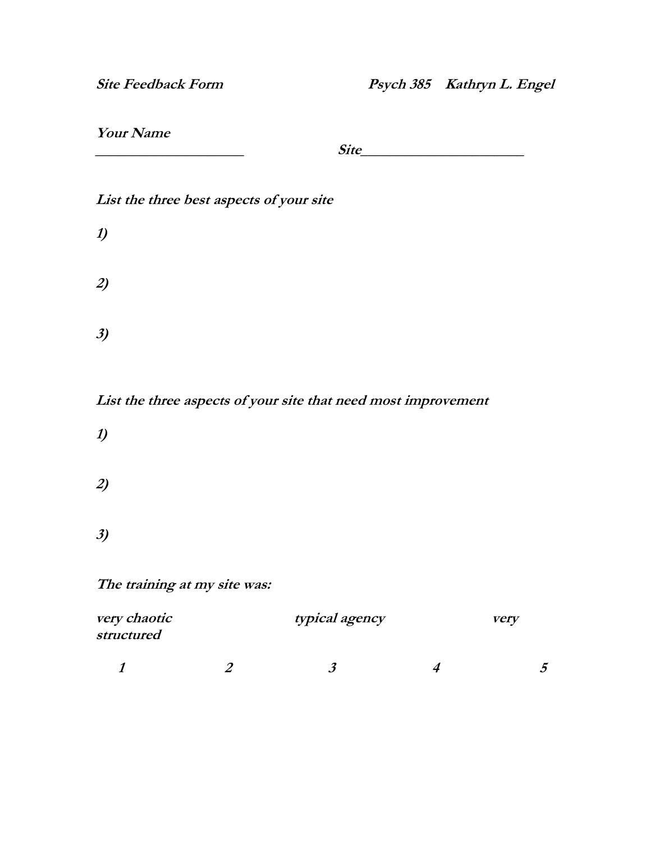## **Your Name**

**\_\_\_\_\_\_\_\_\_\_\_\_\_\_\_\_\_\_\_\_ Site\_\_\_\_\_\_\_\_\_\_\_\_\_\_\_\_\_\_\_\_\_\_**

## **List the three best aspects of your site**

| 2) |  |  |  |
|----|--|--|--|
| 3) |  |  |  |

**List the three aspects of your site that need most improvement**

**1) 2)**

**1)**

**3)**

## **The training at my site was:**

| <i>very chaotic</i><br>structured |  | typical agency | verv |  |
|-----------------------------------|--|----------------|------|--|
|                                   |  |                |      |  |